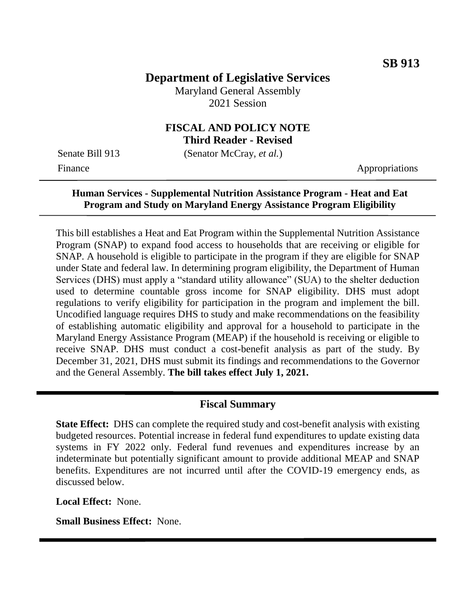# **Department of Legislative Services**

Maryland General Assembly 2021 Session

#### **FISCAL AND POLICY NOTE Third Reader - Revised**

Senate Bill 913 (Senator McCray, *et al.*)

Finance Appropriations

## **Human Services - Supplemental Nutrition Assistance Program - Heat and Eat Program and Study on Maryland Energy Assistance Program Eligibility**

This bill establishes a Heat and Eat Program within the Supplemental Nutrition Assistance Program (SNAP) to expand food access to households that are receiving or eligible for SNAP. A household is eligible to participate in the program if they are eligible for SNAP under State and federal law. In determining program eligibility, the Department of Human Services (DHS) must apply a "standard utility allowance" (SUA) to the shelter deduction used to determine countable gross income for SNAP eligibility. DHS must adopt regulations to verify eligibility for participation in the program and implement the bill. Uncodified language requires DHS to study and make recommendations on the feasibility of establishing automatic eligibility and approval for a household to participate in the Maryland Energy Assistance Program (MEAP) if the household is receiving or eligible to receive SNAP. DHS must conduct a cost-benefit analysis as part of the study. By December 31, 2021, DHS must submit its findings and recommendations to the Governor and the General Assembly. **The bill takes effect July 1, 2021.**

#### **Fiscal Summary**

**State Effect:** DHS can complete the required study and cost-benefit analysis with existing budgeted resources. Potential increase in federal fund expenditures to update existing data systems in FY 2022 only. Federal fund revenues and expenditures increase by an indeterminate but potentially significant amount to provide additional MEAP and SNAP benefits. Expenditures are not incurred until after the COVID-19 emergency ends, as discussed below.

**Local Effect:** None.

**Small Business Effect:** None.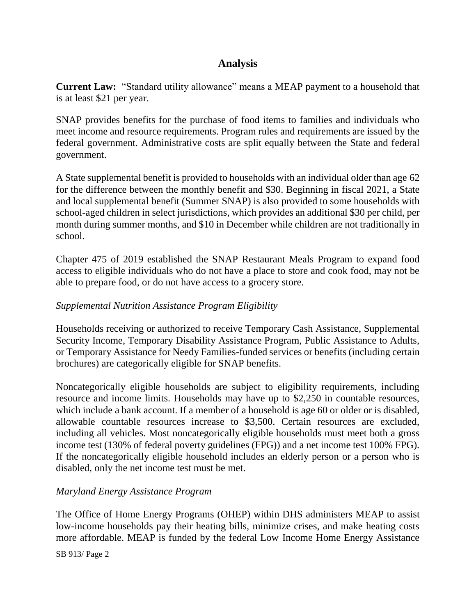# **Analysis**

**Current Law:** "Standard utility allowance" means a MEAP payment to a household that is at least \$21 per year.

SNAP provides benefits for the purchase of food items to families and individuals who meet income and resource requirements. Program rules and requirements are issued by the federal government. Administrative costs are split equally between the State and federal government.

A State supplemental benefit is provided to households with an individual older than age 62 for the difference between the monthly benefit and \$30. Beginning in fiscal 2021, a State and local supplemental benefit (Summer SNAP) is also provided to some households with school-aged children in select jurisdictions, which provides an additional \$30 per child, per month during summer months, and \$10 in December while children are not traditionally in school.

Chapter 475 of 2019 established the SNAP Restaurant Meals Program to expand food access to eligible individuals who do not have a place to store and cook food, may not be able to prepare food, or do not have access to a grocery store.

#### *Supplemental Nutrition Assistance Program Eligibility*

Households receiving or authorized to receive Temporary Cash Assistance, Supplemental Security Income, Temporary Disability Assistance Program, Public Assistance to Adults, or Temporary Assistance for Needy Families-funded services or benefits (including certain brochures) are categorically eligible for SNAP benefits.

Noncategorically eligible households are subject to eligibility requirements, including resource and income limits. Households may have up to \$2,250 in countable resources, which include a bank account. If a member of a household is age 60 or older or is disabled, allowable countable resources increase to \$3,500. Certain resources are excluded, including all vehicles. Most noncategorically eligible households must meet both a gross income test (130% of federal poverty guidelines (FPG)) and a net income test 100% FPG). If the noncategorically eligible household includes an elderly person or a person who is disabled, only the net income test must be met.

#### *Maryland Energy Assistance Program*

The Office of Home Energy Programs (OHEP) within DHS administers MEAP to assist low-income households pay their heating bills, minimize crises, and make heating costs more affordable. MEAP is funded by the federal Low Income Home Energy Assistance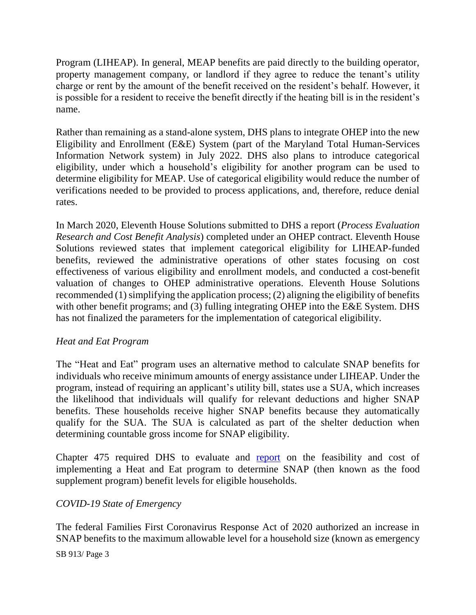Program (LIHEAP). In general, MEAP benefits are paid directly to the building operator, property management company, or landlord if they agree to reduce the tenant's utility charge or rent by the amount of the benefit received on the resident's behalf. However, it is possible for a resident to receive the benefit directly if the heating bill is in the resident's name.

Rather than remaining as a stand-alone system, DHS plans to integrate OHEP into the new Eligibility and Enrollment (E&E) System (part of the Maryland Total Human-Services Information Network system) in July 2022. DHS also plans to introduce categorical eligibility, under which a household's eligibility for another program can be used to determine eligibility for MEAP. Use of categorical eligibility would reduce the number of verifications needed to be provided to process applications, and, therefore, reduce denial rates.

In March 2020, Eleventh House Solutions submitted to DHS a report (*Process Evaluation Research and Cost Benefit Analysis*) completed under an OHEP contract. Eleventh House Solutions reviewed states that implement categorical eligibility for LIHEAP-funded benefits, reviewed the administrative operations of other states focusing on cost effectiveness of various eligibility and enrollment models, and conducted a cost-benefit valuation of changes to OHEP administrative operations. Eleventh House Solutions recommended (1) simplifying the application process; (2) aligning the eligibility of benefits with other benefit programs; and (3) fulling integrating OHEP into the E&E System. DHS has not finalized the parameters for the implementation of categorical eligibility.

#### *Heat and Eat Program*

The "Heat and Eat" program uses an alternative method to calculate SNAP benefits for individuals who receive minimum amounts of energy assistance under LIHEAP. Under the program, instead of requiring an applicant's utility bill, states use a SUA, which increases the likelihood that individuals will qualify for relevant deductions and higher SNAP benefits. These households receive higher SNAP benefits because they automatically qualify for the SUA. The SUA is calculated as part of the shelter deduction when determining countable gross income for SNAP eligibility.

Chapter 475 required DHS to evaluate and [report](http://dlslibrary.state.md.us/publications/Exec/DHS/HB838Ch475(2)_2019.pdf) on the feasibility and cost of implementing a Heat and Eat program to determine SNAP (then known as the food supplement program) benefit levels for eligible households.

## *COVID-19 State of Emergency*

The federal Families First Coronavirus Response Act of 2020 authorized an increase in SNAP benefits to the maximum allowable level for a household size (known as emergency

SB 913/ Page 3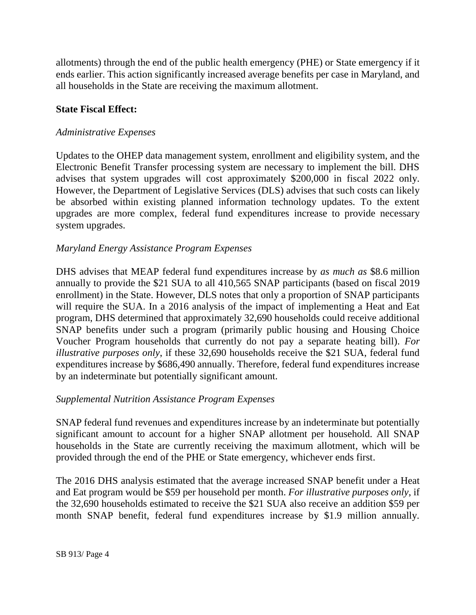allotments) through the end of the public health emergency (PHE) or State emergency if it ends earlier. This action significantly increased average benefits per case in Maryland, and all households in the State are receiving the maximum allotment.

#### **State Fiscal Effect:**

### *Administrative Expenses*

Updates to the OHEP data management system, enrollment and eligibility system, and the Electronic Benefit Transfer processing system are necessary to implement the bill. DHS advises that system upgrades will cost approximately \$200,000 in fiscal 2022 only. However, the Department of Legislative Services (DLS) advises that such costs can likely be absorbed within existing planned information technology updates. To the extent upgrades are more complex, federal fund expenditures increase to provide necessary system upgrades.

### *Maryland Energy Assistance Program Expenses*

DHS advises that MEAP federal fund expenditures increase by *as much as* \$8.6 million annually to provide the \$21 SUA to all 410,565 SNAP participants (based on fiscal 2019 enrollment) in the State. However, DLS notes that only a proportion of SNAP participants will require the SUA. In a 2016 analysis of the impact of implementing a Heat and Eat program, DHS determined that approximately 32,690 households could receive additional SNAP benefits under such a program (primarily public housing and Housing Choice Voucher Program households that currently do not pay a separate heating bill). *For illustrative purposes only*, if these 32,690 households receive the \$21 SUA, federal fund expenditures increase by \$686,490 annually. Therefore, federal fund expenditures increase by an indeterminate but potentially significant amount.

#### *Supplemental Nutrition Assistance Program Expenses*

SNAP federal fund revenues and expenditures increase by an indeterminate but potentially significant amount to account for a higher SNAP allotment per household. All SNAP households in the State are currently receiving the maximum allotment, which will be provided through the end of the PHE or State emergency, whichever ends first.

The 2016 DHS analysis estimated that the average increased SNAP benefit under a Heat and Eat program would be \$59 per household per month. *For illustrative purposes only*, if the 32,690 households estimated to receive the \$21 SUA also receive an addition \$59 per month SNAP benefit, federal fund expenditures increase by \$1.9 million annually.